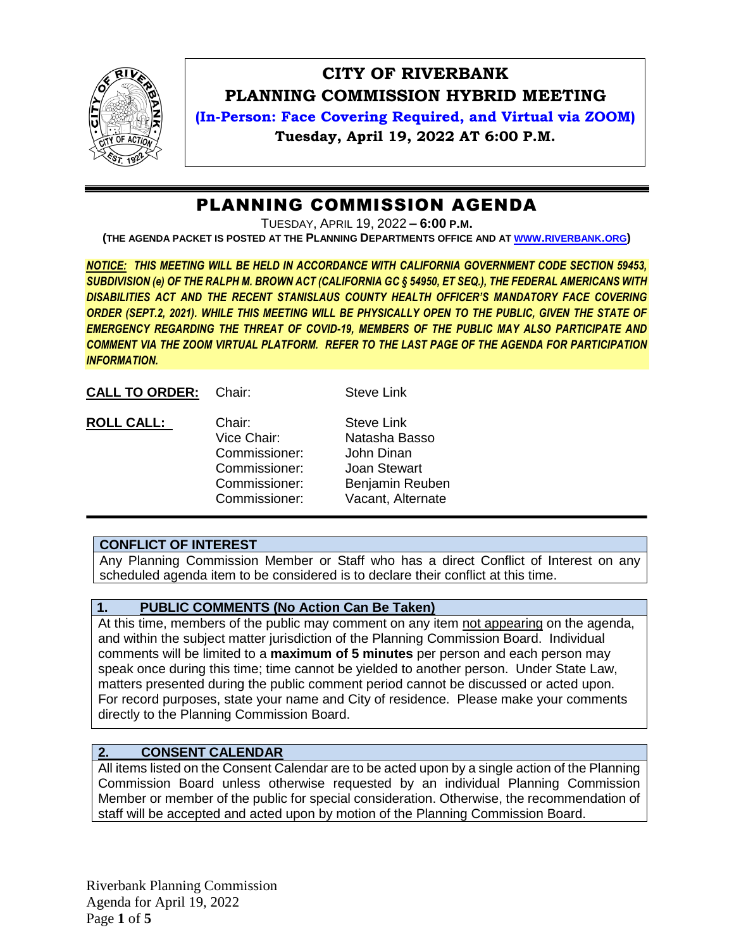

# **CITY OF RIVERBANK PLANNING COMMISSION HYBRID MEETING**

**(In-Person: Face Covering Required, and Virtual via ZOOM) Tuesday, April 19, 2022 AT 6:00 P.M.**

# PLANNING COMMISSION AGENDA

TUESDAY, APRIL 19, 2022 **– 6:00 P.M.**

**(THE AGENDA PACKET IS POSTED AT THE PLANNING DEPARTMENTS OFFICE AND AT WWW.[RIVERBANK](http://www.riverbank.org/).ORG)**

*NOTICE: THIS MEETING WILL BE HELD IN ACCORDANCE WITH CALIFORNIA GOVERNMENT CODE SECTION 59453, SUBDIVISION (e) OF THE RALPH M. BROWN ACT (CALIFORNIA GC § 54950, ET SEQ.), THE FEDERAL AMERICANS WITH DISABILITIES ACT AND THE RECENT STANISLAUS COUNTY HEALTH OFFICER'S MANDATORY FACE COVERING ORDER (SEPT.2, 2021). WHILE THIS MEETING WILL BE PHYSICALLY OPEN TO THE PUBLIC, GIVEN THE STATE OF EMERGENCY REGARDING THE THREAT OF COVID-19, MEMBERS OF THE PUBLIC MAY ALSO PARTICIPATE AND COMMENT VIA THE ZOOM VIRTUAL PLATFORM. REFER TO THE LAST PAGE OF THE AGENDA FOR PARTICIPATION INFORMATION.*

| <b>CALL TO ORDER:</b> Chair: |  |
|------------------------------|--|
|                              |  |
|                              |  |

**Steve Link** 

| <b>ROLL CALL:</b> | Chair:        | <b>Steve Link</b> |  |
|-------------------|---------------|-------------------|--|
|                   | Vice Chair:   | Natasha Basso     |  |
|                   | Commissioner: | John Dinan        |  |
|                   | Commissioner: | Joan Stewart      |  |
|                   | Commissioner: | Benjamin Reuben   |  |
|                   | Commissioner: | Vacant, Alternate |  |

# **CONFLICT OF INTEREST**

Any Planning Commission Member or Staff who has a direct Conflict of Interest on any scheduled agenda item to be considered is to declare their conflict at this time.

# **1. PUBLIC COMMENTS (No Action Can Be Taken)**

At this time, members of the public may comment on any item not appearing on the agenda, and within the subject matter jurisdiction of the Planning Commission Board. Individual comments will be limited to a **maximum of 5 minutes** per person and each person may speak once during this time; time cannot be yielded to another person. Under State Law, matters presented during the public comment period cannot be discussed or acted upon. For record purposes, state your name and City of residence. Please make your comments directly to the Planning Commission Board.

## **2. CONSENT CALENDAR**

All items listed on the Consent Calendar are to be acted upon by a single action of the Planning Commission Board unless otherwise requested by an individual Planning Commission Member or member of the public for special consideration. Otherwise, the recommendation of staff will be accepted and acted upon by motion of the Planning Commission Board.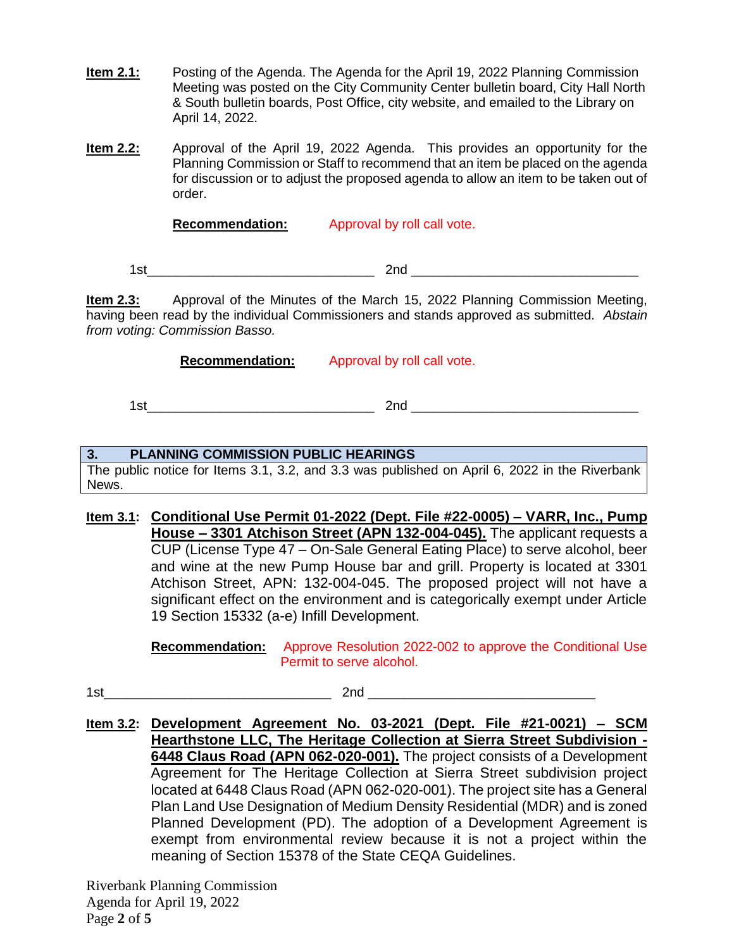- **Item 2.1:** Posting of the Agenda. The Agenda for the April 19, 2022 Planning Commission Meeting was posted on the City Community Center bulletin board, City Hall North & South bulletin boards, Post Office, city website, and emailed to the Library on April 14, 2022.
- **Item 2.2:** Approval of the April 19, 2022 Agenda. This provides an opportunity for the Planning Commission or Staff to recommend that an item be placed on the agenda for discussion or to adjust the proposed agenda to allow an item to be taken out of order.

**Recommendation:** Approval by roll call vote.

1st\_\_\_\_\_\_\_\_\_\_\_\_\_\_\_\_\_\_\_\_\_\_\_\_\_\_\_\_\_\_\_ 2nd \_\_\_\_\_\_\_\_\_\_\_\_\_\_\_\_\_\_\_\_\_\_\_\_\_\_\_\_\_\_\_

**Item 2.3:** Approval of the Minutes of the March 15, 2022 Planning Commission Meeting, having been read by the individual Commissioners and stands approved as submitted. *Abstain from voting: Commission Basso.*

**Recommendation:** Approval by roll call vote.

1st\_\_\_\_\_\_\_\_\_\_\_\_\_\_\_\_\_\_\_\_\_\_\_\_\_\_\_\_\_\_\_ 2nd \_\_\_\_\_\_\_\_\_\_\_\_\_\_\_\_\_\_\_\_\_\_\_\_\_\_\_\_\_\_\_

## **3. PLANNING COMMISSION PUBLIC HEARINGS**

The public notice for Items 3.1, 3.2, and 3.3 was published on April 6, 2022 in the Riverbank News.

**Item 3.1: Conditional Use Permit 01-2022 (Dept. File #22-0005) – VARR, Inc., Pump House – 3301 Atchison Street (APN 132-004-045).** The applicant requests a CUP (License Type 47 – On-Sale General Eating Place) to serve alcohol, beer and wine at the new Pump House bar and grill. Property is located at 3301 Atchison Street, APN: 132-004-045. The proposed project will not have a significant effect on the environment and is categorically exempt under Article 19 Section 15332 (a-e) Infill Development.

> **Recommendation:** Approve Resolution 2022-002 to approve the Conditional Use Permit to serve alcohol.

1st\_\_\_\_\_\_\_\_\_\_\_\_\_\_\_\_\_\_\_\_\_\_\_\_\_\_\_\_\_\_\_ 2nd \_\_\_\_\_\_\_\_\_\_\_\_\_\_\_\_\_\_\_\_\_\_\_\_\_\_\_\_\_\_\_

**Item 3.2: Development Agreement No. 03-2021 (Dept. File #21-0021) – SCM Hearthstone LLC, The Heritage Collection at Sierra Street Subdivision - 6448 Claus Road (APN 062-020-001).** The project consists of a Development Agreement for The Heritage Collection at Sierra Street subdivision project located at 6448 Claus Road (APN 062-020-001). The project site has a General Plan Land Use Designation of Medium Density Residential (MDR) and is zoned Planned Development (PD). The adoption of a Development Agreement is exempt from environmental review because it is not a project within the meaning of Section 15378 of the State CEQA Guidelines.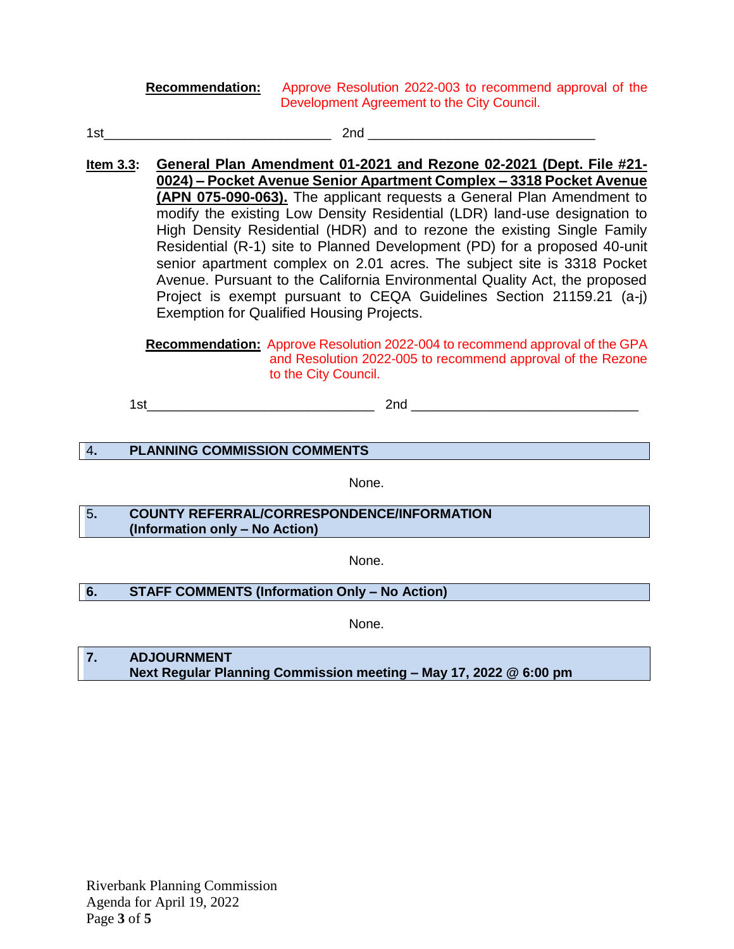**Recommendation:** Approve Resolution 2022-003 to recommend approval of the Development Agreement to the City Council.

- $1$ st $2$ nd  $\overline{\phantom{a}}$
- **Item 3.3: General Plan Amendment 01-2021 and Rezone 02-2021 (Dept. File #21- 0024) – Pocket Avenue Senior Apartment Complex – 3318 Pocket Avenue (APN 075-090-063).** The applicant requests a General Plan Amendment to modify the existing Low Density Residential (LDR) land-use designation to High Density Residential (HDR) and to rezone the existing Single Family Residential (R-1) site to Planned Development (PD) for a proposed 40-unit senior apartment complex on 2.01 acres. The subject site is 3318 Pocket Avenue. Pursuant to the California Environmental Quality Act, the proposed Project is exempt pursuant to CEQA Guidelines Section 21159.21 (a-j) Exemption for Qualified Housing Projects.

**Recommendation:** Approve Resolution 2022-004 to recommend approval of the GPA and Resolution 2022-005 to recommend approval of the Rezone to the City Council.

 $1$ st $\qquad \qquad \qquad$  2nd  $\qquad \qquad$ 

## 4**. PLANNING COMMISSION COMMENTS**

None.

5**. COUNTY REFERRAL/CORRESPONDENCE/INFORMATION (Information only – No Action)**

None.

## **6. STAFF COMMENTS (Information Only – No Action)**

None.

**7. ADJOURNMENT Next Regular Planning Commission meeting – May 17, 2022 @ 6:00 pm**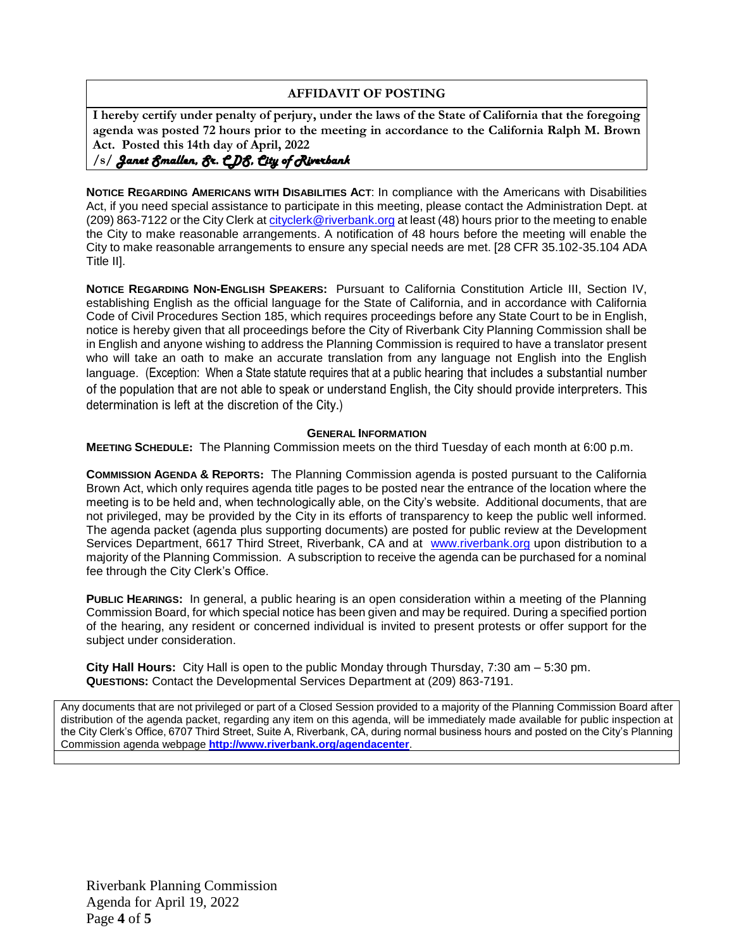## **AFFIDAVIT OF POSTING**

**I hereby certify under penalty of perjury, under the laws of the State of California that the foregoing agenda was posted 72 hours prior to the meeting in accordance to the California Ralph M. Brown Act. Posted this 14th day of April, 2022**

## **/s/** *Janet Smallen, Sr. CDS, City of Riverbank*

**NOTICE REGARDING AMERICANS WITH DISABILITIES ACT**: In compliance with the Americans with Disabilities Act, if you need special assistance to participate in this meeting, please contact the Administration Dept. at (209) 863-7122 or the City Clerk at [cityclerk@riverbank.org](mailto:cityclerk@riverbank.org) at least (48) hours prior to the meeting to enable the City to make reasonable arrangements. A notification of 48 hours before the meeting will enable the City to make reasonable arrangements to ensure any special needs are met. [28 CFR 35.102-35.104 ADA Title II].

**NOTICE REGARDING NON-ENGLISH SPEAKERS:** Pursuant to California Constitution Article III, Section IV, establishing English as the official language for the State of California, and in accordance with California Code of Civil Procedures Section 185, which requires proceedings before any State Court to be in English, notice is hereby given that all proceedings before the City of Riverbank City Planning Commission shall be in English and anyone wishing to address the Planning Commission is required to have a translator present who will take an oath to make an accurate translation from any language not English into the English language. (Exception: When a State statute requires that at a public hearing that includes a substantial number of the population that are not able to speak or understand English, the City should provide interpreters. This determination is left at the discretion of the City.)

#### **GENERAL INFORMATION**

**MEETING SCHEDULE:** The Planning Commission meets on the third Tuesday of each month at 6:00 p.m.

**COMMISSION AGENDA & REPORTS:** The Planning Commission agenda is posted pursuant to the California Brown Act, which only requires agenda title pages to be posted near the entrance of the location where the meeting is to be held and, when technologically able, on the City's website. Additional documents, that are not privileged, may be provided by the City in its efforts of transparency to keep the public well informed. The agenda packet (agenda plus supporting documents) are posted for public review at the Development Services Department, 6617 Third Street, Riverbank, CA and at [www.riverbank.org](http://www.riverbank.org/) upon distribution to a majority of the Planning Commission. A subscription to receive the agenda can be purchased for a nominal fee through the City Clerk's Office.

**PUBLIC HEARINGS:** In general, a public hearing is an open consideration within a meeting of the Planning Commission Board, for which special notice has been given and may be required. During a specified portion of the hearing, any resident or concerned individual is invited to present protests or offer support for the subject under consideration.

**City Hall Hours:** City Hall is open to the public Monday through Thursday, 7:30 am – 5:30 pm. **QUESTIONS:** Contact the Developmental Services Department at (209) 863-7191.

Any documents that are not privileged or part of a Closed Session provided to a majority of the Planning Commission Board after distribution of the agenda packet, regarding any item on this agenda, will be immediately made available for public inspection at the City Clerk's Office, 6707 Third Street, Suite A, Riverbank, CA, during normal business hours and posted on the City's Planning Commission agenda webpage **<http://www.riverbank.org/agendacenter>**.